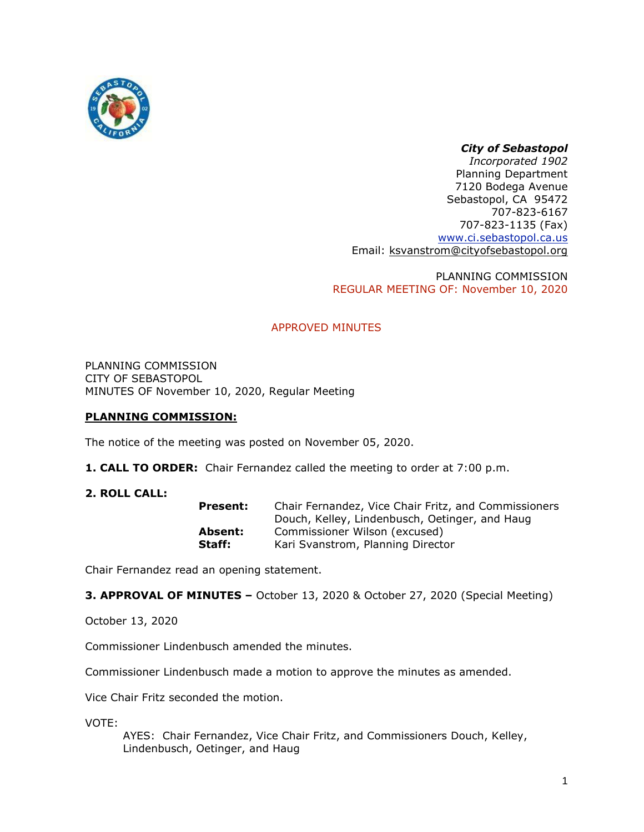

# *City of Sebastopol*

*Incorporated 1902* Planning Department 7120 Bodega Avenue Sebastopol, CA 95472 707-823-6167 707-823-1135 (Fax) [www.ci.sebastopol.ca.us](http://www.ci.sebastopol.ca.us/) Email: [ksvanstrom@cityofsebastopol.org](mailto:ksvanstrom@cityofsebastopol.org)

PLANNING COMMISSION REGULAR MEETING OF: November 10, 2020

# APPROVED MINUTES

PLANNING COMMISSION CITY OF SEBASTOPOL MINUTES OF November 10, 2020, Regular Meeting

# **PLANNING COMMISSION:**

The notice of the meeting was posted on November 05, 2020.

- **1. CALL TO ORDER:** Chair Fernandez called the meeting to order at 7:00 p.m.
- **2. ROLL CALL:**

| <b>Present:</b> | Chair Fernandez, Vice Chair Fritz, and Commissioners |
|-----------------|------------------------------------------------------|
|                 | Douch, Kelley, Lindenbusch, Oetinger, and Haug       |
| Absent:         | Commissioner Wilson (excused)                        |
| Staff:          | Kari Svanstrom, Planning Director                    |

Chair Fernandez read an opening statement.

**3. APPROVAL OF MINUTES –** October 13, 2020 & October 27, 2020 (Special Meeting)

October 13, 2020

Commissioner Lindenbusch amended the minutes.

Commissioner Lindenbusch made a motion to approve the minutes as amended.

Vice Chair Fritz seconded the motion.

VOTE:

AYES: Chair Fernandez, Vice Chair Fritz, and Commissioners Douch, Kelley, Lindenbusch, Oetinger, and Haug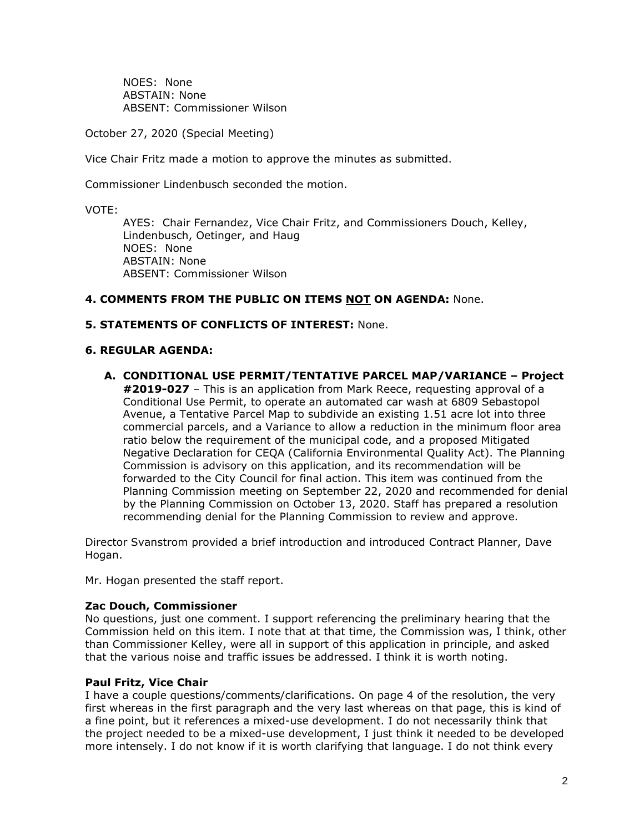NOES: None ABSTAIN: None ABSENT: Commissioner Wilson

October 27, 2020 (Special Meeting)

Vice Chair Fritz made a motion to approve the minutes as submitted.

Commissioner Lindenbusch seconded the motion.

VOTE:

AYES: Chair Fernandez, Vice Chair Fritz, and Commissioners Douch, Kelley, Lindenbusch, Oetinger, and Haug NOES: None ABSTAIN: None ABSENT: Commissioner Wilson

# **4. COMMENTS FROM THE PUBLIC ON ITEMS NOT ON AGENDA:** None.

## **5. STATEMENTS OF CONFLICTS OF INTEREST:** None.

## **6. REGULAR AGENDA:**

**A. CONDITIONAL USE PERMIT/TENTATIVE PARCEL MAP/VARIANCE – Project #2019-027** – This is an application from Mark Reece, requesting approval of a Conditional Use Permit, to operate an automated car wash at 6809 Sebastopol Avenue, a Tentative Parcel Map to subdivide an existing 1.51 acre lot into three commercial parcels, and a Variance to allow a reduction in the minimum floor area ratio below the requirement of the municipal code, and a proposed Mitigated Negative Declaration for CEQA (California Environmental Quality Act). The Planning Commission is advisory on this application, and its recommendation will be forwarded to the City Council for final action. This item was continued from the Planning Commission meeting on September 22, 2020 and recommended for denial by the Planning Commission on October 13, 2020. Staff has prepared a resolution recommending denial for the Planning Commission to review and approve.

Director Svanstrom provided a brief introduction and introduced Contract Planner, Dave Hogan.

Mr. Hogan presented the staff report.

## **Zac Douch, Commissioner**

No questions, just one comment. I support referencing the preliminary hearing that the Commission held on this item. I note that at that time, the Commission was, I think, other than Commissioner Kelley, were all in support of this application in principle, and asked that the various noise and traffic issues be addressed. I think it is worth noting.

## **Paul Fritz, Vice Chair**

I have a couple questions/comments/clarifications. On page 4 of the resolution, the very first whereas in the first paragraph and the very last whereas on that page, this is kind of a fine point, but it references a mixed-use development. I do not necessarily think that the project needed to be a mixed-use development, I just think it needed to be developed more intensely. I do not know if it is worth clarifying that language. I do not think every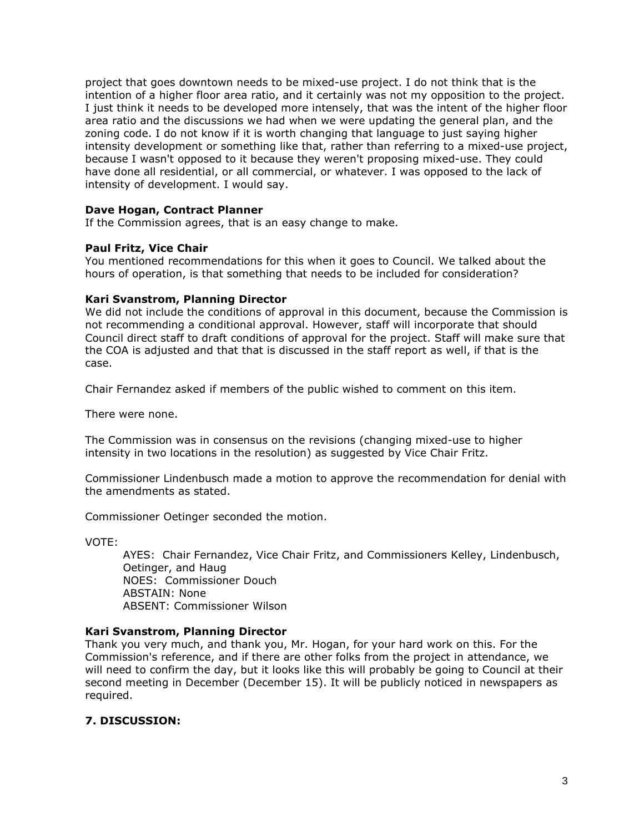project that goes downtown needs to be mixed-use project. I do not think that is the intention of a higher floor area ratio, and it certainly was not my opposition to the project. I just think it needs to be developed more intensely, that was the intent of the higher floor area ratio and the discussions we had when we were updating the general plan, and the zoning code. I do not know if it is worth changing that language to just saying higher intensity development or something like that, rather than referring to a mixed-use project, because I wasn't opposed to it because they weren't proposing mixed-use. They could have done all residential, or all commercial, or whatever. I was opposed to the lack of intensity of development. I would say.

## **Dave Hogan, Contract Planner**

If the Commission agrees, that is an easy change to make.

## **Paul Fritz, Vice Chair**

You mentioned recommendations for this when it goes to Council. We talked about the hours of operation, is that something that needs to be included for consideration?

### **Kari Svanstrom, Planning Director**

We did not include the conditions of approval in this document, because the Commission is not recommending a conditional approval. However, staff will incorporate that should Council direct staff to draft conditions of approval for the project. Staff will make sure that the COA is adjusted and that that is discussed in the staff report as well, if that is the case.

Chair Fernandez asked if members of the public wished to comment on this item.

There were none.

The Commission was in consensus on the revisions (changing mixed-use to higher intensity in two locations in the resolution) as suggested by Vice Chair Fritz.

Commissioner Lindenbusch made a motion to approve the recommendation for denial with the amendments as stated.

Commissioner Oetinger seconded the motion.

VOTE:

AYES: Chair Fernandez, Vice Chair Fritz, and Commissioners Kelley, Lindenbusch, Oetinger, and Haug NOES: Commissioner Douch ABSTAIN: None ABSENT: Commissioner Wilson

#### **Kari Svanstrom, Planning Director**

Thank you very much, and thank you, Mr. Hogan, for your hard work on this. For the Commission's reference, and if there are other folks from the project in attendance, we will need to confirm the day, but it looks like this will probably be going to Council at their second meeting in December (December 15). It will be publicly noticed in newspapers as required.

## **7. DISCUSSION:**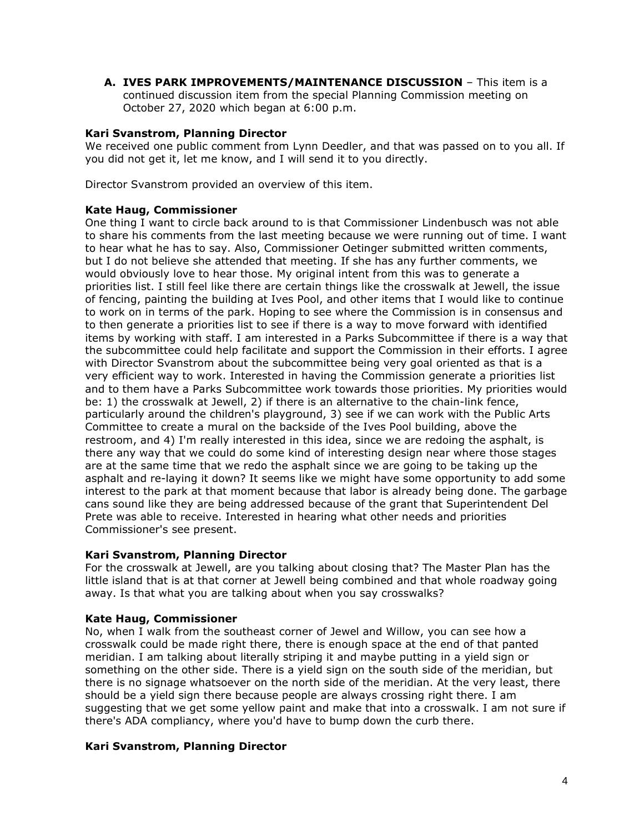**A. IVES PARK IMPROVEMENTS/MAINTENANCE DISCUSSION** – This item is a continued discussion item from the special Planning Commission meeting on October 27, 2020 which began at 6:00 p.m.

# **Kari Svanstrom, Planning Director**

We received one public comment from Lynn Deedler, and that was passed on to you all. If you did not get it, let me know, and I will send it to you directly.

Director Svanstrom provided an overview of this item.

## **Kate Haug, Commissioner**

One thing I want to circle back around to is that Commissioner Lindenbusch was not able to share his comments from the last meeting because we were running out of time. I want to hear what he has to say. Also, Commissioner Oetinger submitted written comments, but I do not believe she attended that meeting. If she has any further comments, we would obviously love to hear those. My original intent from this was to generate a priorities list. I still feel like there are certain things like the crosswalk at Jewell, the issue of fencing, painting the building at Ives Pool, and other items that I would like to continue to work on in terms of the park. Hoping to see where the Commission is in consensus and to then generate a priorities list to see if there is a way to move forward with identified items by working with staff. I am interested in a Parks Subcommittee if there is a way that the subcommittee could help facilitate and support the Commission in their efforts. I agree with Director Svanstrom about the subcommittee being very goal oriented as that is a very efficient way to work. Interested in having the Commission generate a priorities list and to them have a Parks Subcommittee work towards those priorities. My priorities would be: 1) the crosswalk at Jewell, 2) if there is an alternative to the chain-link fence, particularly around the children's playground, 3) see if we can work with the Public Arts Committee to create a mural on the backside of the Ives Pool building, above the restroom, and 4) I'm really interested in this idea, since we are redoing the asphalt, is there any way that we could do some kind of interesting design near where those stages are at the same time that we redo the asphalt since we are going to be taking up the asphalt and re-laying it down? It seems like we might have some opportunity to add some interest to the park at that moment because that labor is already being done. The garbage cans sound like they are being addressed because of the grant that Superintendent Del Prete was able to receive. Interested in hearing what other needs and priorities Commissioner's see present.

## **Kari Svanstrom, Planning Director**

For the crosswalk at Jewell, are you talking about closing that? The Master Plan has the little island that is at that corner at Jewell being combined and that whole roadway going away. Is that what you are talking about when you say crosswalks?

## **Kate Haug, Commissioner**

No, when I walk from the southeast corner of Jewel and Willow, you can see how a crosswalk could be made right there, there is enough space at the end of that panted meridian. I am talking about literally striping it and maybe putting in a yield sign or something on the other side. There is a yield sign on the south side of the meridian, but there is no signage whatsoever on the north side of the meridian. At the very least, there should be a yield sign there because people are always crossing right there. I am suggesting that we get some yellow paint and make that into a crosswalk. I am not sure if there's ADA compliancy, where you'd have to bump down the curb there.

## **Kari Svanstrom, Planning Director**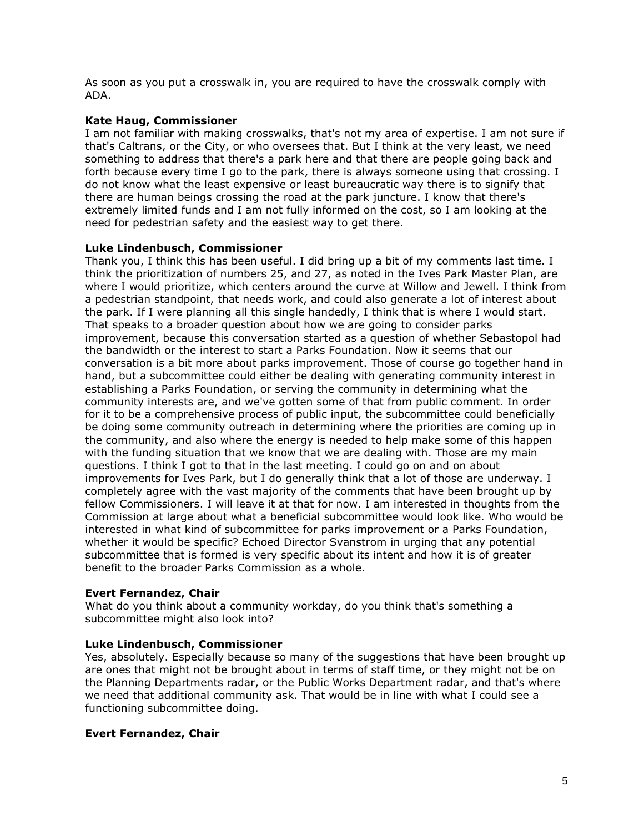As soon as you put a crosswalk in, you are required to have the crosswalk comply with ADA.

# **Kate Haug, Commissioner**

I am not familiar with making crosswalks, that's not my area of expertise. I am not sure if that's Caltrans, or the City, or who oversees that. But I think at the very least, we need something to address that there's a park here and that there are people going back and forth because every time I go to the park, there is always someone using that crossing. I do not know what the least expensive or least bureaucratic way there is to signify that there are human beings crossing the road at the park juncture. I know that there's extremely limited funds and I am not fully informed on the cost, so I am looking at the need for pedestrian safety and the easiest way to get there.

# **Luke Lindenbusch, Commissioner**

Thank you, I think this has been useful. I did bring up a bit of my comments last time. I think the prioritization of numbers 25, and 27, as noted in the Ives Park Master Plan, are where I would prioritize, which centers around the curve at Willow and Jewell. I think from a pedestrian standpoint, that needs work, and could also generate a lot of interest about the park. If I were planning all this single handedly, I think that is where I would start. That speaks to a broader question about how we are going to consider parks improvement, because this conversation started as a question of whether Sebastopol had the bandwidth or the interest to start a Parks Foundation. Now it seems that our conversation is a bit more about parks improvement. Those of course go together hand in hand, but a subcommittee could either be dealing with generating community interest in establishing a Parks Foundation, or serving the community in determining what the community interests are, and we've gotten some of that from public comment. In order for it to be a comprehensive process of public input, the subcommittee could beneficially be doing some community outreach in determining where the priorities are coming up in the community, and also where the energy is needed to help make some of this happen with the funding situation that we know that we are dealing with. Those are my main questions. I think I got to that in the last meeting. I could go on and on about improvements for Ives Park, but I do generally think that a lot of those are underway. I completely agree with the vast majority of the comments that have been brought up by fellow Commissioners. I will leave it at that for now. I am interested in thoughts from the Commission at large about what a beneficial subcommittee would look like. Who would be interested in what kind of subcommittee for parks improvement or a Parks Foundation, whether it would be specific? Echoed Director Svanstrom in urging that any potential subcommittee that is formed is very specific about its intent and how it is of greater benefit to the broader Parks Commission as a whole.

## **Evert Fernandez, Chair**

What do you think about a community workday, do you think that's something a subcommittee might also look into?

## **Luke Lindenbusch, Commissioner**

Yes, absolutely. Especially because so many of the suggestions that have been brought up are ones that might not be brought about in terms of staff time, or they might not be on the Planning Departments radar, or the Public Works Department radar, and that's where we need that additional community ask. That would be in line with what I could see a functioning subcommittee doing.

## **Evert Fernandez, Chair**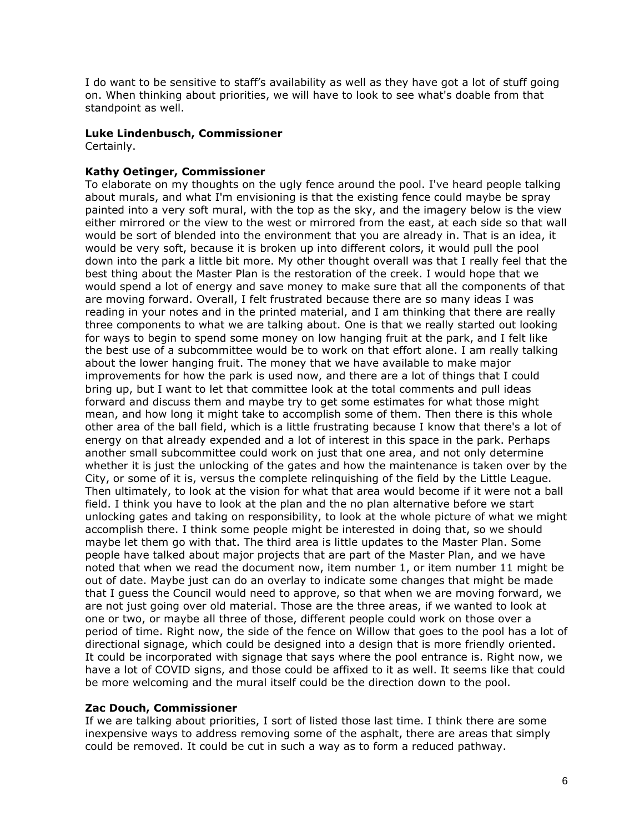I do want to be sensitive to staff's availability as well as they have got a lot of stuff going on. When thinking about priorities, we will have to look to see what's doable from that standpoint as well.

## **Luke Lindenbusch, Commissioner**

Certainly.

## **Kathy Oetinger, Commissioner**

To elaborate on my thoughts on the ugly fence around the pool. I've heard people talking about murals, and what I'm envisioning is that the existing fence could maybe be spray painted into a very soft mural, with the top as the sky, and the imagery below is the view either mirrored or the view to the west or mirrored from the east, at each side so that wall would be sort of blended into the environment that you are already in. That is an idea, it would be very soft, because it is broken up into different colors, it would pull the pool down into the park a little bit more. My other thought overall was that I really feel that the best thing about the Master Plan is the restoration of the creek. I would hope that we would spend a lot of energy and save money to make sure that all the components of that are moving forward. Overall, I felt frustrated because there are so many ideas I was reading in your notes and in the printed material, and I am thinking that there are really three components to what we are talking about. One is that we really started out looking for ways to begin to spend some money on low hanging fruit at the park, and I felt like the best use of a subcommittee would be to work on that effort alone. I am really talking about the lower hanging fruit. The money that we have available to make major improvements for how the park is used now, and there are a lot of things that I could bring up, but I want to let that committee look at the total comments and pull ideas forward and discuss them and maybe try to get some estimates for what those might mean, and how long it might take to accomplish some of them. Then there is this whole other area of the ball field, which is a little frustrating because I know that there's a lot of energy on that already expended and a lot of interest in this space in the park. Perhaps another small subcommittee could work on just that one area, and not only determine whether it is just the unlocking of the gates and how the maintenance is taken over by the City, or some of it is, versus the complete relinquishing of the field by the Little League. Then ultimately, to look at the vision for what that area would become if it were not a ball field. I think you have to look at the plan and the no plan alternative before we start unlocking gates and taking on responsibility, to look at the whole picture of what we might accomplish there. I think some people might be interested in doing that, so we should maybe let them go with that. The third area is little updates to the Master Plan. Some people have talked about major projects that are part of the Master Plan, and we have noted that when we read the document now, item number 1, or item number 11 might be out of date. Maybe just can do an overlay to indicate some changes that might be made that I guess the Council would need to approve, so that when we are moving forward, we are not just going over old material. Those are the three areas, if we wanted to look at one or two, or maybe all three of those, different people could work on those over a period of time. Right now, the side of the fence on Willow that goes to the pool has a lot of directional signage, which could be designed into a design that is more friendly oriented. It could be incorporated with signage that says where the pool entrance is. Right now, we have a lot of COVID signs, and those could be affixed to it as well. It seems like that could be more welcoming and the mural itself could be the direction down to the pool.

## **Zac Douch, Commissioner**

If we are talking about priorities, I sort of listed those last time. I think there are some inexpensive ways to address removing some of the asphalt, there are areas that simply could be removed. It could be cut in such a way as to form a reduced pathway.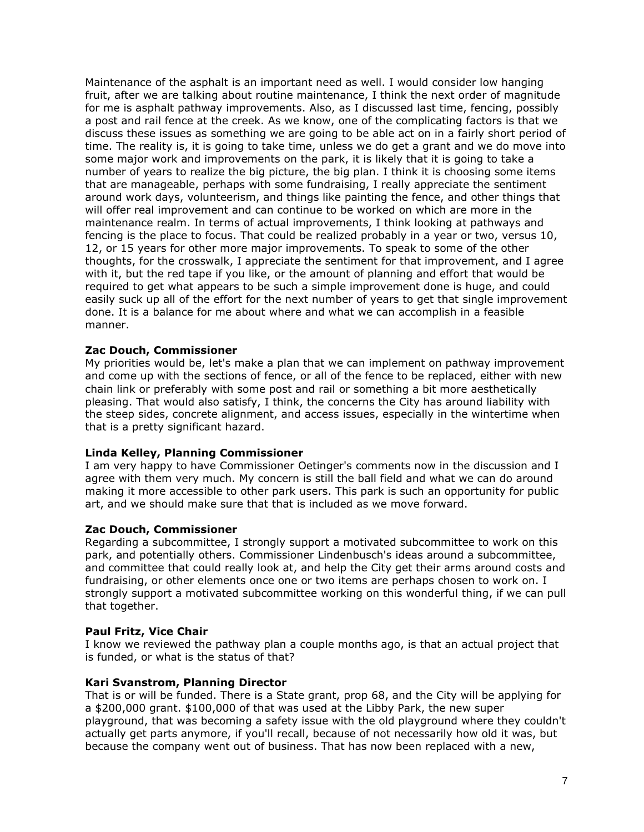Maintenance of the asphalt is an important need as well. I would consider low hanging fruit, after we are talking about routine maintenance, I think the next order of magnitude for me is asphalt pathway improvements. Also, as I discussed last time, fencing, possibly a post and rail fence at the creek. As we know, one of the complicating factors is that we discuss these issues as something we are going to be able act on in a fairly short period of time. The reality is, it is going to take time, unless we do get a grant and we do move into some major work and improvements on the park, it is likely that it is going to take a number of years to realize the big picture, the big plan. I think it is choosing some items that are manageable, perhaps with some fundraising, I really appreciate the sentiment around work days, volunteerism, and things like painting the fence, and other things that will offer real improvement and can continue to be worked on which are more in the maintenance realm. In terms of actual improvements, I think looking at pathways and fencing is the place to focus. That could be realized probably in a year or two, versus 10, 12, or 15 years for other more major improvements. To speak to some of the other thoughts, for the crosswalk, I appreciate the sentiment for that improvement, and I agree with it, but the red tape if you like, or the amount of planning and effort that would be required to get what appears to be such a simple improvement done is huge, and could easily suck up all of the effort for the next number of years to get that single improvement done. It is a balance for me about where and what we can accomplish in a feasible manner.

## **Zac Douch, Commissioner**

My priorities would be, let's make a plan that we can implement on pathway improvement and come up with the sections of fence, or all of the fence to be replaced, either with new chain link or preferably with some post and rail or something a bit more aesthetically pleasing. That would also satisfy, I think, the concerns the City has around liability with the steep sides, concrete alignment, and access issues, especially in the wintertime when that is a pretty significant hazard.

## **Linda Kelley, Planning Commissioner**

I am very happy to have Commissioner Oetinger's comments now in the discussion and I agree with them very much. My concern is still the ball field and what we can do around making it more accessible to other park users. This park is such an opportunity for public art, and we should make sure that that is included as we move forward.

## **Zac Douch, Commissioner**

Regarding a subcommittee, I strongly support a motivated subcommittee to work on this park, and potentially others. Commissioner Lindenbusch's ideas around a subcommittee, and committee that could really look at, and help the City get their arms around costs and fundraising, or other elements once one or two items are perhaps chosen to work on. I strongly support a motivated subcommittee working on this wonderful thing, if we can pull that together.

## **Paul Fritz, Vice Chair**

I know we reviewed the pathway plan a couple months ago, is that an actual project that is funded, or what is the status of that?

## **Kari Svanstrom, Planning Director**

That is or will be funded. There is a State grant, prop 68, and the City will be applying for a \$200,000 grant. \$100,000 of that was used at the Libby Park, the new super playground, that was becoming a safety issue with the old playground where they couldn't actually get parts anymore, if you'll recall, because of not necessarily how old it was, but because the company went out of business. That has now been replaced with a new,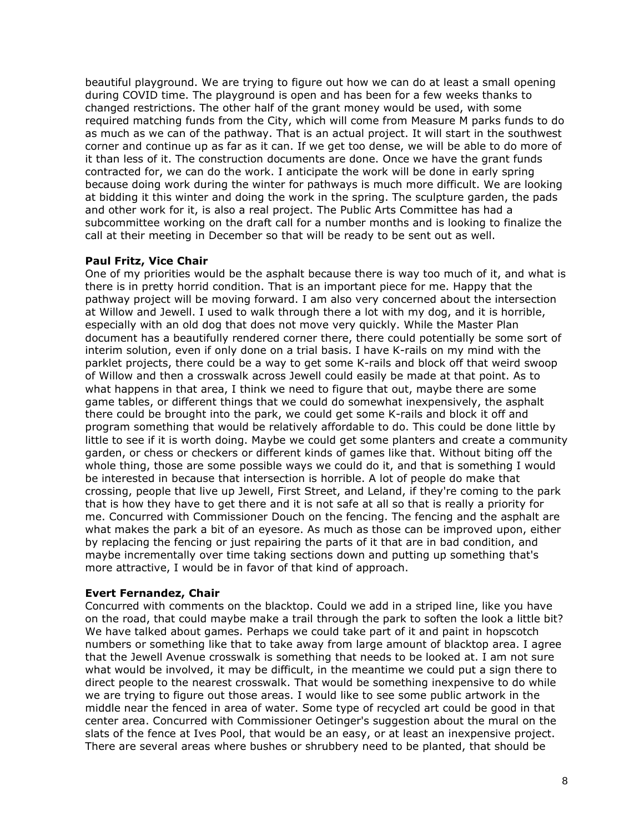beautiful playground. We are trying to figure out how we can do at least a small opening during COVID time. The playground is open and has been for a few weeks thanks to changed restrictions. The other half of the grant money would be used, with some required matching funds from the City, which will come from Measure M parks funds to do as much as we can of the pathway. That is an actual project. It will start in the southwest corner and continue up as far as it can. If we get too dense, we will be able to do more of it than less of it. The construction documents are done. Once we have the grant funds contracted for, we can do the work. I anticipate the work will be done in early spring because doing work during the winter for pathways is much more difficult. We are looking at bidding it this winter and doing the work in the spring. The sculpture garden, the pads and other work for it, is also a real project. The Public Arts Committee has had a subcommittee working on the draft call for a number months and is looking to finalize the call at their meeting in December so that will be ready to be sent out as well.

### **Paul Fritz, Vice Chair**

One of my priorities would be the asphalt because there is way too much of it, and what is there is in pretty horrid condition. That is an important piece for me. Happy that the pathway project will be moving forward. I am also very concerned about the intersection at Willow and Jewell. I used to walk through there a lot with my dog, and it is horrible, especially with an old dog that does not move very quickly. While the Master Plan document has a beautifully rendered corner there, there could potentially be some sort of interim solution, even if only done on a trial basis. I have K-rails on my mind with the parklet projects, there could be a way to get some K-rails and block off that weird swoop of Willow and then a crosswalk across Jewell could easily be made at that point. As to what happens in that area, I think we need to figure that out, maybe there are some game tables, or different things that we could do somewhat inexpensively, the asphalt there could be brought into the park, we could get some K-rails and block it off and program something that would be relatively affordable to do. This could be done little by little to see if it is worth doing. Maybe we could get some planters and create a community garden, or chess or checkers or different kinds of games like that. Without biting off the whole thing, those are some possible ways we could do it, and that is something I would be interested in because that intersection is horrible. A lot of people do make that crossing, people that live up Jewell, First Street, and Leland, if they're coming to the park that is how they have to get there and it is not safe at all so that is really a priority for me. Concurred with Commissioner Douch on the fencing. The fencing and the asphalt are what makes the park a bit of an eyesore. As much as those can be improved upon, either by replacing the fencing or just repairing the parts of it that are in bad condition, and maybe incrementally over time taking sections down and putting up something that's more attractive, I would be in favor of that kind of approach.

#### **Evert Fernandez, Chair**

Concurred with comments on the blacktop. Could we add in a striped line, like you have on the road, that could maybe make a trail through the park to soften the look a little bit? We have talked about games. Perhaps we could take part of it and paint in hopscotch numbers or something like that to take away from large amount of blacktop area. I agree that the Jewell Avenue crosswalk is something that needs to be looked at. I am not sure what would be involved, it may be difficult, in the meantime we could put a sign there to direct people to the nearest crosswalk. That would be something inexpensive to do while we are trying to figure out those areas. I would like to see some public artwork in the middle near the fenced in area of water. Some type of recycled art could be good in that center area. Concurred with Commissioner Oetinger's suggestion about the mural on the slats of the fence at Ives Pool, that would be an easy, or at least an inexpensive project. There are several areas where bushes or shrubbery need to be planted, that should be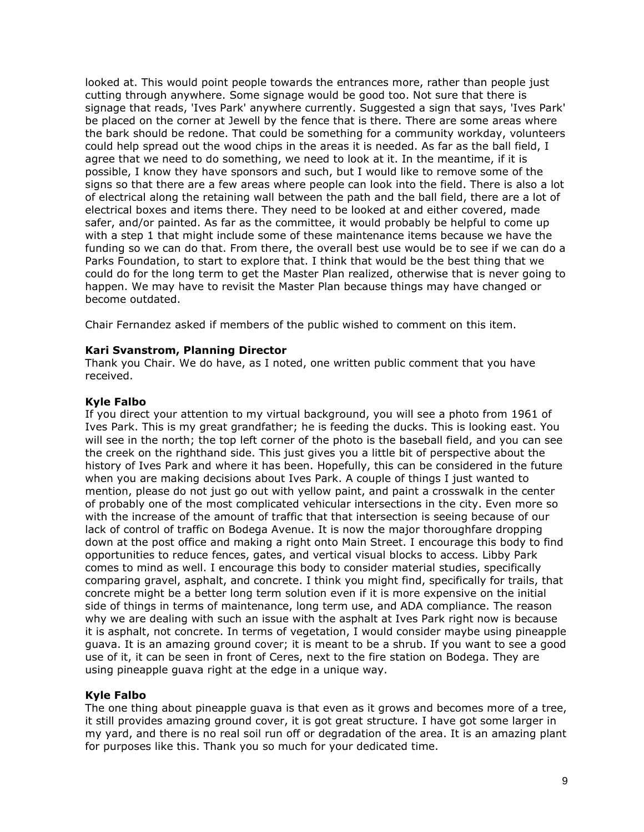looked at. This would point people towards the entrances more, rather than people just cutting through anywhere. Some signage would be good too. Not sure that there is signage that reads, 'Ives Park' anywhere currently. Suggested a sign that says, 'Ives Park' be placed on the corner at Jewell by the fence that is there. There are some areas where the bark should be redone. That could be something for a community workday, volunteers could help spread out the wood chips in the areas it is needed. As far as the ball field, I agree that we need to do something, we need to look at it. In the meantime, if it is possible, I know they have sponsors and such, but I would like to remove some of the signs so that there are a few areas where people can look into the field. There is also a lot of electrical along the retaining wall between the path and the ball field, there are a lot of electrical boxes and items there. They need to be looked at and either covered, made safer, and/or painted. As far as the committee, it would probably be helpful to come up with a step 1 that might include some of these maintenance items because we have the funding so we can do that. From there, the overall best use would be to see if we can do a Parks Foundation, to start to explore that. I think that would be the best thing that we could do for the long term to get the Master Plan realized, otherwise that is never going to happen. We may have to revisit the Master Plan because things may have changed or become outdated.

Chair Fernandez asked if members of the public wished to comment on this item.

### **Kari Svanstrom, Planning Director**

Thank you Chair. We do have, as I noted, one written public comment that you have received.

### **Kyle Falbo**

If you direct your attention to my virtual background, you will see a photo from 1961 of Ives Park. This is my great grandfather; he is feeding the ducks. This is looking east. You will see in the north; the top left corner of the photo is the baseball field, and you can see the creek on the righthand side. This just gives you a little bit of perspective about the history of Ives Park and where it has been. Hopefully, this can be considered in the future when you are making decisions about Ives Park. A couple of things I just wanted to mention, please do not just go out with yellow paint, and paint a crosswalk in the center of probably one of the most complicated vehicular intersections in the city. Even more so with the increase of the amount of traffic that that intersection is seeing because of our lack of control of traffic on Bodega Avenue. It is now the major thoroughfare dropping down at the post office and making a right onto Main Street. I encourage this body to find opportunities to reduce fences, gates, and vertical visual blocks to access. Libby Park comes to mind as well. I encourage this body to consider material studies, specifically comparing gravel, asphalt, and concrete. I think you might find, specifically for trails, that concrete might be a better long term solution even if it is more expensive on the initial side of things in terms of maintenance, long term use, and ADA compliance. The reason why we are dealing with such an issue with the asphalt at Ives Park right now is because it is asphalt, not concrete. In terms of vegetation, I would consider maybe using pineapple guava. It is an amazing ground cover; it is meant to be a shrub. If you want to see a good use of it, it can be seen in front of Ceres, next to the fire station on Bodega. They are using pineapple guava right at the edge in a unique way.

#### **Kyle Falbo**

The one thing about pineapple guava is that even as it grows and becomes more of a tree, it still provides amazing ground cover, it is got great structure. I have got some larger in my yard, and there is no real soil run off or degradation of the area. It is an amazing plant for purposes like this. Thank you so much for your dedicated time.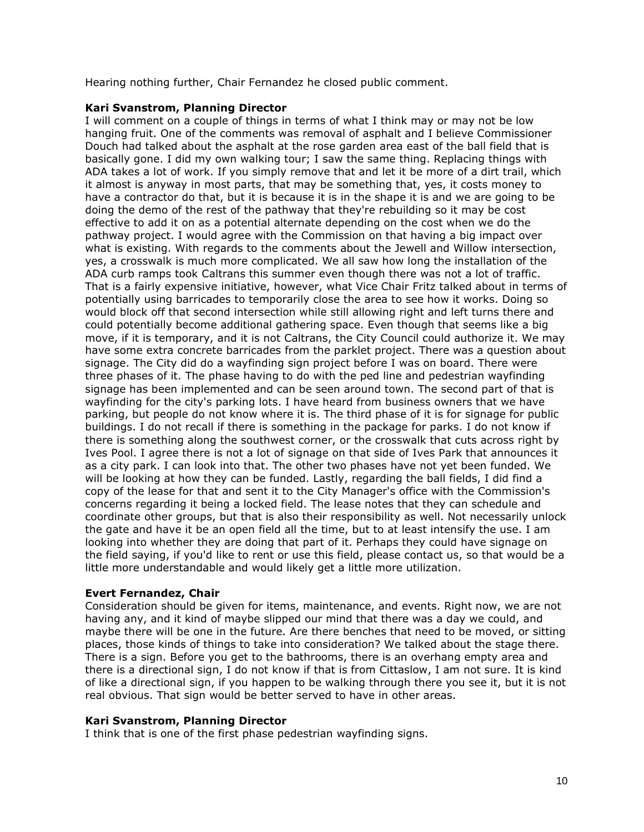Hearing nothing further, Chair Fernandez he closed public comment.

### **Kari Svanstrom, Planning Director**

I will comment on a couple of things in terms of what I think may or may not be low hanging fruit. One of the comments was removal of asphalt and I believe Commissioner Douch had talked about the asphalt at the rose garden area east of the ball field that is basically gone. I did my own walking tour; I saw the same thing. Replacing things with ADA takes a lot of work. If you simply remove that and let it be more of a dirt trail, which it almost is anyway in most parts, that may be something that, yes, it costs money to have a contractor do that, but it is because it is in the shape it is and we are going to be doing the demo of the rest of the pathway that they're rebuilding so it may be cost effective to add it on as a potential alternate depending on the cost when we do the pathway project. I would agree with the Commission on that having a big impact over what is existing. With regards to the comments about the Jewell and Willow intersection, yes, a crosswalk is much more complicated. We all saw how long the installation of the ADA curb ramps took Caltrans this summer even though there was not a lot of traffic. That is a fairly expensive initiative, however, what Vice Chair Fritz talked about in terms of potentially using barricades to temporarily close the area to see how it works. Doing so would block off that second intersection while still allowing right and left turns there and could potentially become additional gathering space. Even though that seems like a big move, if it is temporary, and it is not Caltrans, the City Council could authorize it. We may have some extra concrete barricades from the parklet project. There was a question about signage. The City did do a wayfinding sign project before I was on board. There were three phases of it. The phase having to do with the ped line and pedestrian wayfinding signage has been implemented and can be seen around town. The second part of that is wayfinding for the city's parking lots. I have heard from business owners that we have parking, but people do not know where it is. The third phase of it is for signage for public buildings. I do not recall if there is something in the package for parks. I do not know if there is something along the southwest corner, or the crosswalk that cuts across right by Ives Pool. I agree there is not a lot of signage on that side of Ives Park that announces it as a city park. I can look into that. The other two phases have not yet been funded. We will be looking at how they can be funded. Lastly, regarding the ball fields, I did find a copy of the lease for that and sent it to the City Manager's office with the Commission's concerns regarding it being a locked field. The lease notes that they can schedule and coordinate other groups, but that is also their responsibility as well. Not necessarily unlock the gate and have it be an open field all the time, but to at least intensify the use. I am looking into whether they are doing that part of it. Perhaps they could have signage on the field saying, if you'd like to rent or use this field, please contact us, so that would be a little more understandable and would likely get a little more utilization.

## **Evert Fernandez, Chair**

Consideration should be given for items, maintenance, and events. Right now, we are not having any, and it kind of maybe slipped our mind that there was a day we could, and maybe there will be one in the future. Are there benches that need to be moved, or sitting places, those kinds of things to take into consideration? We talked about the stage there. There is a sign. Before you get to the bathrooms, there is an overhang empty area and there is a directional sign, I do not know if that is from Cittaslow, I am not sure. It is kind of like a directional sign, if you happen to be walking through there you see it, but it is not real obvious. That sign would be better served to have in other areas.

#### **Kari Svanstrom, Planning Director**

I think that is one of the first phase pedestrian wayfinding signs.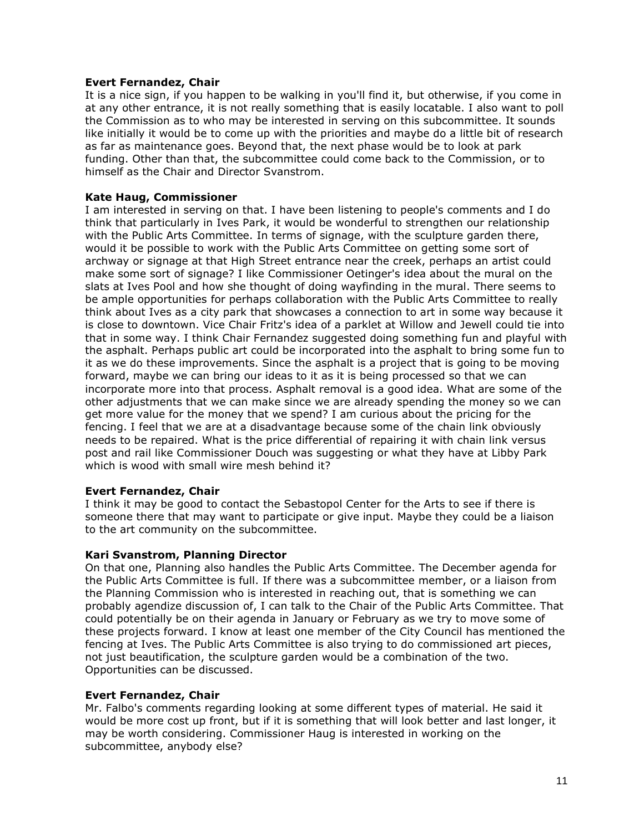## **Evert Fernandez, Chair**

It is a nice sign, if you happen to be walking in you'll find it, but otherwise, if you come in at any other entrance, it is not really something that is easily locatable. I also want to poll the Commission as to who may be interested in serving on this subcommittee. It sounds like initially it would be to come up with the priorities and maybe do a little bit of research as far as maintenance goes. Beyond that, the next phase would be to look at park funding. Other than that, the subcommittee could come back to the Commission, or to himself as the Chair and Director Svanstrom.

### **Kate Haug, Commissioner**

I am interested in serving on that. I have been listening to people's comments and I do think that particularly in Ives Park, it would be wonderful to strengthen our relationship with the Public Arts Committee. In terms of signage, with the sculpture garden there, would it be possible to work with the Public Arts Committee on getting some sort of archway or signage at that High Street entrance near the creek, perhaps an artist could make some sort of signage? I like Commissioner Oetinger's idea about the mural on the slats at Ives Pool and how she thought of doing wayfinding in the mural. There seems to be ample opportunities for perhaps collaboration with the Public Arts Committee to really think about Ives as a city park that showcases a connection to art in some way because it is close to downtown. Vice Chair Fritz's idea of a parklet at Willow and Jewell could tie into that in some way. I think Chair Fernandez suggested doing something fun and playful with the asphalt. Perhaps public art could be incorporated into the asphalt to bring some fun to it as we do these improvements. Since the asphalt is a project that is going to be moving forward, maybe we can bring our ideas to it as it is being processed so that we can incorporate more into that process. Asphalt removal is a good idea. What are some of the other adjustments that we can make since we are already spending the money so we can get more value for the money that we spend? I am curious about the pricing for the fencing. I feel that we are at a disadvantage because some of the chain link obviously needs to be repaired. What is the price differential of repairing it with chain link versus post and rail like Commissioner Douch was suggesting or what they have at Libby Park which is wood with small wire mesh behind it?

## **Evert Fernandez, Chair**

I think it may be good to contact the Sebastopol Center for the Arts to see if there is someone there that may want to participate or give input. Maybe they could be a liaison to the art community on the subcommittee.

#### **Kari Svanstrom, Planning Director**

On that one, Planning also handles the Public Arts Committee. The December agenda for the Public Arts Committee is full. If there was a subcommittee member, or a liaison from the Planning Commission who is interested in reaching out, that is something we can probably agendize discussion of, I can talk to the Chair of the Public Arts Committee. That could potentially be on their agenda in January or February as we try to move some of these projects forward. I know at least one member of the City Council has mentioned the fencing at Ives. The Public Arts Committee is also trying to do commissioned art pieces, not just beautification, the sculpture garden would be a combination of the two. Opportunities can be discussed.

#### **Evert Fernandez, Chair**

Mr. Falbo's comments regarding looking at some different types of material. He said it would be more cost up front, but if it is something that will look better and last longer, it may be worth considering. Commissioner Haug is interested in working on the subcommittee, anybody else?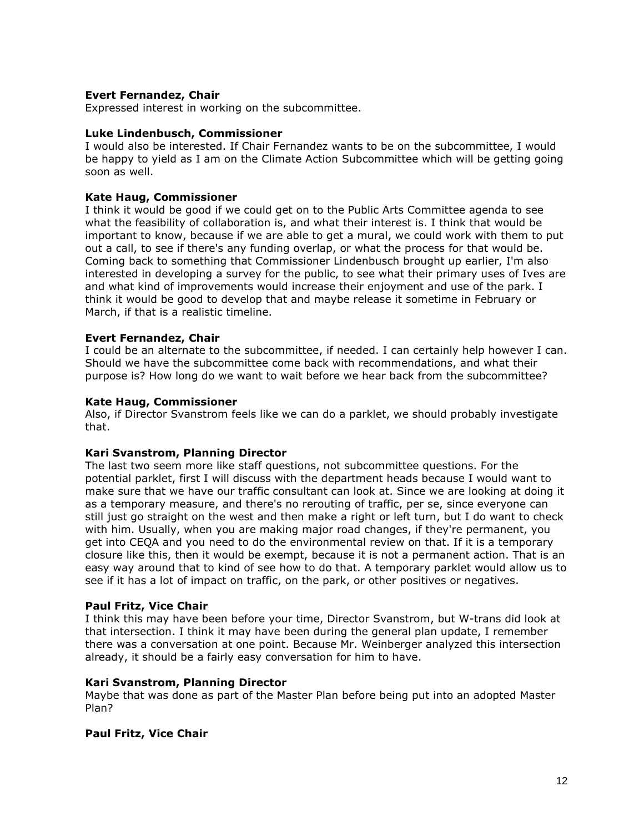## **Evert Fernandez, Chair**

Expressed interest in working on the subcommittee.

#### **Luke Lindenbusch, Commissioner**

I would also be interested. If Chair Fernandez wants to be on the subcommittee, I would be happy to yield as I am on the Climate Action Subcommittee which will be getting going soon as well.

### **Kate Haug, Commissioner**

I think it would be good if we could get on to the Public Arts Committee agenda to see what the feasibility of collaboration is, and what their interest is. I think that would be important to know, because if we are able to get a mural, we could work with them to put out a call, to see if there's any funding overlap, or what the process for that would be. Coming back to something that Commissioner Lindenbusch brought up earlier, I'm also interested in developing a survey for the public, to see what their primary uses of Ives are and what kind of improvements would increase their enjoyment and use of the park. I think it would be good to develop that and maybe release it sometime in February or March, if that is a realistic timeline.

### **Evert Fernandez, Chair**

I could be an alternate to the subcommittee, if needed. I can certainly help however I can. Should we have the subcommittee come back with recommendations, and what their purpose is? How long do we want to wait before we hear back from the subcommittee?

### **Kate Haug, Commissioner**

Also, if Director Svanstrom feels like we can do a parklet, we should probably investigate that.

#### **Kari Svanstrom, Planning Director**

The last two seem more like staff questions, not subcommittee questions. For the potential parklet, first I will discuss with the department heads because I would want to make sure that we have our traffic consultant can look at. Since we are looking at doing it as a temporary measure, and there's no rerouting of traffic, per se, since everyone can still just go straight on the west and then make a right or left turn, but I do want to check with him. Usually, when you are making major road changes, if they're permanent, you get into CEQA and you need to do the environmental review on that. If it is a temporary closure like this, then it would be exempt, because it is not a permanent action. That is an easy way around that to kind of see how to do that. A temporary parklet would allow us to see if it has a lot of impact on traffic, on the park, or other positives or negatives.

#### **Paul Fritz, Vice Chair**

I think this may have been before your time, Director Svanstrom, but W-trans did look at that intersection. I think it may have been during the general plan update, I remember there was a conversation at one point. Because Mr. Weinberger analyzed this intersection already, it should be a fairly easy conversation for him to have.

#### **Kari Svanstrom, Planning Director**

Maybe that was done as part of the Master Plan before being put into an adopted Master Plan?

## **Paul Fritz, Vice Chair**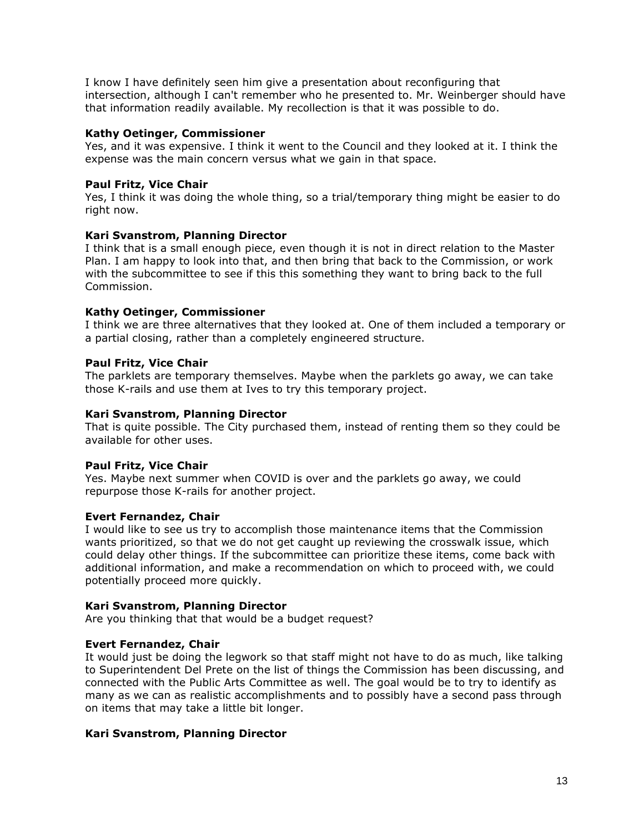I know I have definitely seen him give a presentation about reconfiguring that intersection, although I can't remember who he presented to. Mr. Weinberger should have that information readily available. My recollection is that it was possible to do.

## **Kathy Oetinger, Commissioner**

Yes, and it was expensive. I think it went to the Council and they looked at it. I think the expense was the main concern versus what we gain in that space.

# **Paul Fritz, Vice Chair**

Yes, I think it was doing the whole thing, so a trial/temporary thing might be easier to do right now.

## **Kari Svanstrom, Planning Director**

I think that is a small enough piece, even though it is not in direct relation to the Master Plan. I am happy to look into that, and then bring that back to the Commission, or work with the subcommittee to see if this this something they want to bring back to the full Commission.

## **Kathy Oetinger, Commissioner**

I think we are three alternatives that they looked at. One of them included a temporary or a partial closing, rather than a completely engineered structure.

## **Paul Fritz, Vice Chair**

The parklets are temporary themselves. Maybe when the parklets go away, we can take those K-rails and use them at Ives to try this temporary project.

## **Kari Svanstrom, Planning Director**

That is quite possible. The City purchased them, instead of renting them so they could be available for other uses.

## **Paul Fritz, Vice Chair**

Yes. Maybe next summer when COVID is over and the parklets go away, we could repurpose those K-rails for another project.

## **Evert Fernandez, Chair**

I would like to see us try to accomplish those maintenance items that the Commission wants prioritized, so that we do not get caught up reviewing the crosswalk issue, which could delay other things. If the subcommittee can prioritize these items, come back with additional information, and make a recommendation on which to proceed with, we could potentially proceed more quickly.

## **Kari Svanstrom, Planning Director**

Are you thinking that that would be a budget request?

## **Evert Fernandez, Chair**

It would just be doing the legwork so that staff might not have to do as much, like talking to Superintendent Del Prete on the list of things the Commission has been discussing, and connected with the Public Arts Committee as well. The goal would be to try to identify as many as we can as realistic accomplishments and to possibly have a second pass through on items that may take a little bit longer.

# **Kari Svanstrom, Planning Director**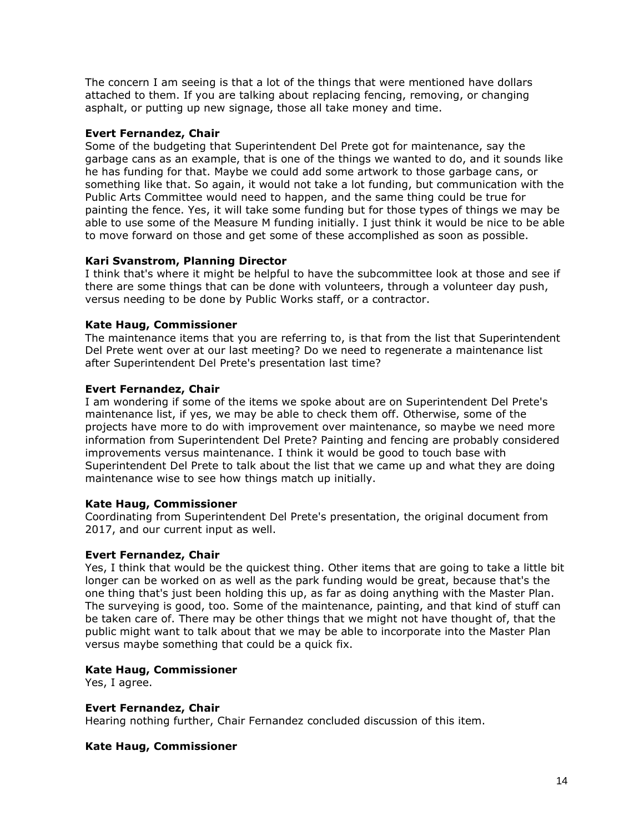The concern I am seeing is that a lot of the things that were mentioned have dollars attached to them. If you are talking about replacing fencing, removing, or changing asphalt, or putting up new signage, those all take money and time.

## **Evert Fernandez, Chair**

Some of the budgeting that Superintendent Del Prete got for maintenance, say the garbage cans as an example, that is one of the things we wanted to do, and it sounds like he has funding for that. Maybe we could add some artwork to those garbage cans, or something like that. So again, it would not take a lot funding, but communication with the Public Arts Committee would need to happen, and the same thing could be true for painting the fence. Yes, it will take some funding but for those types of things we may be able to use some of the Measure M funding initially. I just think it would be nice to be able to move forward on those and get some of these accomplished as soon as possible.

# **Kari Svanstrom, Planning Director**

I think that's where it might be helpful to have the subcommittee look at those and see if there are some things that can be done with volunteers, through a volunteer day push, versus needing to be done by Public Works staff, or a contractor.

# **Kate Haug, Commissioner**

The maintenance items that you are referring to, is that from the list that Superintendent Del Prete went over at our last meeting? Do we need to regenerate a maintenance list after Superintendent Del Prete's presentation last time?

## **Evert Fernandez, Chair**

I am wondering if some of the items we spoke about are on Superintendent Del Prete's maintenance list, if yes, we may be able to check them off. Otherwise, some of the projects have more to do with improvement over maintenance, so maybe we need more information from Superintendent Del Prete? Painting and fencing are probably considered improvements versus maintenance. I think it would be good to touch base with Superintendent Del Prete to talk about the list that we came up and what they are doing maintenance wise to see how things match up initially.

## **Kate Haug, Commissioner**

Coordinating from Superintendent Del Prete's presentation, the original document from 2017, and our current input as well.

## **Evert Fernandez, Chair**

Yes, I think that would be the quickest thing. Other items that are going to take a little bit longer can be worked on as well as the park funding would be great, because that's the one thing that's just been holding this up, as far as doing anything with the Master Plan. The surveying is good, too. Some of the maintenance, painting, and that kind of stuff can be taken care of. There may be other things that we might not have thought of, that the public might want to talk about that we may be able to incorporate into the Master Plan versus maybe something that could be a quick fix.

## **Kate Haug, Commissioner**

Yes, I agree.

## **Evert Fernandez, Chair**

Hearing nothing further, Chair Fernandez concluded discussion of this item.

## **Kate Haug, Commissioner**